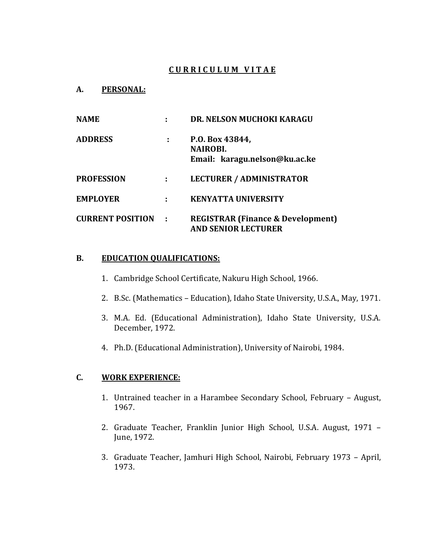# **C U R R I C U L U M V I T A E**

#### **A. PERSONAL:**

| <b>NAME</b>             |   | DR. NELSON MUCHOKI KARAGU                                                  |
|-------------------------|---|----------------------------------------------------------------------------|
| <b>ADDRESS</b>          | ÷ | P.O. Box 43844,<br><b>NAIROBI.</b><br>Email: karagu.nelson@ku.ac.ke        |
| <b>PROFESSION</b>       |   | <b>LECTURER / ADMINISTRATOR</b>                                            |
| <b>EMPLOYER</b>         |   | <b>KENYATTA UNIVERSITY</b>                                                 |
| <b>CURRENT POSITION</b> | ÷ | <b>REGISTRAR (Finance &amp; Development)</b><br><b>AND SENIOR LECTURER</b> |

#### **B. EDUCATION QUALIFICATIONS:**

- 1. Cambridge School Certificate, Nakuru High School, 1966.
- 2. B.Sc. (Mathematics Education), Idaho State University, U.S.A., May, 1971.
- 3. M.A. Ed. (Educational Administration), Idaho State University, U.S.A. December, 1972.
- 4. Ph.D. (Educational Administration), University of Nairobi, 1984.

# **C. WORK EXPERIENCE:**

- 1. Untrained teacher in a Harambee Secondary School, February August, 1967.
- 2. Graduate Teacher, Franklin Junior High School, U.S.A. August, 1971 June, 1972.
- 3. Graduate Teacher, Jamhuri High School, Nairobi, February 1973 April, 1973.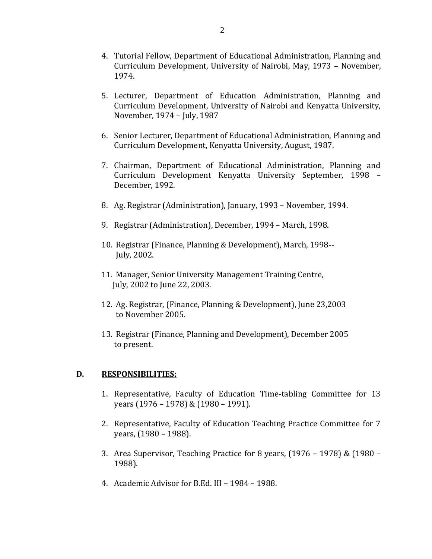- 4. Tutorial Fellow, Department of Educational Administration, Planning and Curriculum Development, University of Nairobi, May, 1973 – November, 1974.
- 5. Lecturer, Department of Education Administration, Planning and Curriculum Development, University of Nairobi and Kenyatta University, November, 1974 – July, 1987
- 6. Senior Lecturer, Department of Educational Administration, Planning and Curriculum Development, Kenyatta University, August, 1987.
- 7. Chairman, Department of Educational Administration, Planning and Curriculum Development Kenyatta University September, 1998 – December, 1992.
- 8. Ag. Registrar (Administration), January, 1993 November, 1994.
- 9. Registrar (Administration), December, 1994 March, 1998.
- 10. Registrar (Finance, Planning & Development), March, 1998-- July, 2002.
- 11. Manager, Senior University Management Training Centre, July, 2002 to June 22, 2003.
- 12. Ag. Registrar, (Finance, Planning & Development), June 23,2003 to November 2005.
- 13. Registrar (Finance, Planning and Development), December 2005 to present.

### **D. RESPONSIBILITIES:**

- 1. Representative, Faculty of Education Time-tabling Committee for 13 years (1976 – 1978) & (1980 – 1991).
- 2. Representative, Faculty of Education Teaching Practice Committee for 7 years, (1980 – 1988).
- 3. Area Supervisor, Teaching Practice for 8 years, (1976 1978) & (1980 1988).
- 4. Academic Advisor for B.Ed. III 1984 1988.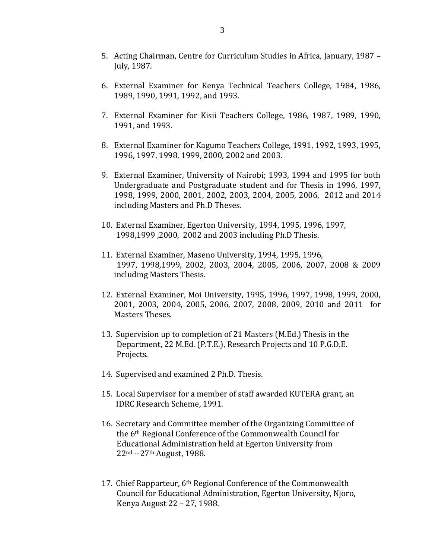- 5. Acting Chairman, Centre for Curriculum Studies in Africa, January, 1987 July, 1987.
- 6. External Examiner for Kenya Technical Teachers College, 1984, 1986, 1989, 1990, 1991, 1992, and 1993.
- 7. External Examiner for Kisii Teachers College, 1986, 1987, 1989, 1990, 1991, and 1993.
- 8. External Examiner for Kagumo Teachers College, 1991, 1992, 1993, 1995, 1996, 1997, 1998, 1999, 2000, 2002 and 2003.
- 9. External Examiner, University of Nairobi; 1993, 1994 and 1995 for both Undergraduate and Postgraduate student and for Thesis in 1996, 1997, 1998, 1999, 2000, 2001, 2002, 2003, 2004, 2005, 2006, 2012 and 2014 including Masters and Ph.D Theses.
- 10. External Examiner, Egerton University, 1994, 1995, 1996, 1997, 1998,1999 ,2000, 2002 and 2003 including Ph.D Thesis.
- 11. External Examiner, Maseno University, 1994, 1995, 1996, 1997, 1998,1999, 2002, 2003, 2004, 2005, 2006, 2007, 2008 & 2009 including Masters Thesis.
- 12. External Examiner, Moi University, 1995, 1996, 1997, 1998, 1999, 2000, 2001, 2003, 2004, 2005, 2006, 2007, 2008, 2009, 2010 and 2011 for Masters Theses.
- 13. Supervision up to completion of 21 Masters (M.Ed.) Thesis in the Department, 22 M.Ed. (P.T.E.), Research Projects and 10 P.G.D.E. Projects.
- 14. Supervised and examined 2 Ph.D. Thesis.
- 15. Local Supervisor for a member of staff awarded KUTERA grant, an IDRC Research Scheme, 1991.
- 16. Secretary and Committee member of the Organizing Committee of the 6th Regional Conference of the Commonwealth Council for Educational Administration held at Egerton University from 22nd --27th August, 1988.
- 17. Chief Rapparteur, 6<sup>th</sup> Regional Conference of the Commonwealth Council for Educational Administration, Egerton University, Njoro, Kenya August 22 – 27, 1988.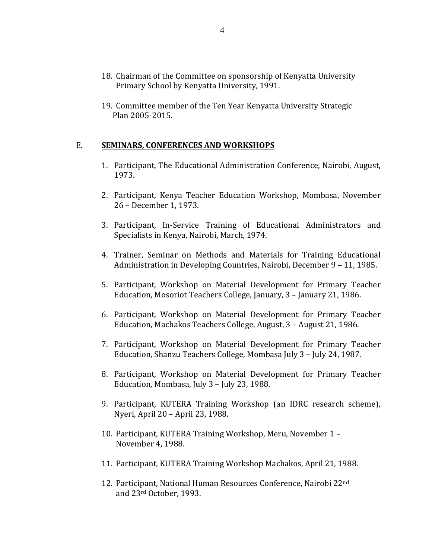- 18. Chairman of the Committee on sponsorship of Kenyatta University Primary School by Kenyatta University, 1991.
- 19. Committee member of the Ten Year Kenyatta University Strategic Plan 2005-2015.

### E. **SEMINARS, CONFERENCES AND WORKSHOPS**

- 1. Participant, The Educational Administration Conference, Nairobi, August, 1973.
- 2. Participant, Kenya Teacher Education Workshop, Mombasa, November 26 – December 1, 1973.
- 3. Participant, In-Service Training of Educational Administrators and Specialists in Kenya, Nairobi, March, 1974.
- 4. Trainer, Seminar on Methods and Materials for Training Educational Administration in Developing Countries, Nairobi, December 9 – 11, 1985.
- 5. Participant, Workshop on Material Development for Primary Teacher Education, Mosoriot Teachers College, January, 3 – January 21, 1986.
- 6. Participant, Workshop on Material Development for Primary Teacher Education, Machakos Teachers College, August, 3 – August 21, 1986.
- 7. Participant, Workshop on Material Development for Primary Teacher Education, Shanzu Teachers College, Mombasa July 3 – July 24, 1987.
- 8. Participant, Workshop on Material Development for Primary Teacher Education, Mombasa, July 3 – July 23, 1988.
- 9. Participant, KUTERA Training Workshop (an IDRC research scheme), Nyeri, April 20 – April 23, 1988.
- 10. Participant, KUTERA Training Workshop, Meru, November 1 November 4, 1988.
- 11. Participant, KUTERA Training Workshop Machakos, April 21, 1988.
- 12. Participant, National Human Resources Conference, Nairobi 22nd and 23rd October, 1993.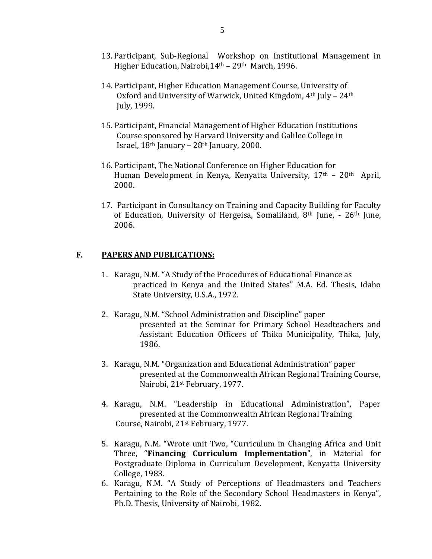- 13. Participant, Sub-Regional Workshop on Institutional Management in Higher Education, Nairobi, 14<sup>th</sup> – 29<sup>th</sup> March, 1996.
- 14. Participant, Higher Education Management Course, University of Oxford and University of Warwick, United Kingdom, 4<sup>th</sup> July - 24<sup>th</sup> July, 1999.
- 15. Participant, Financial Management of Higher Education Institutions Course sponsored by Harvard University and Galilee College in Israel,  $18<sup>th</sup>$  January –  $28<sup>th</sup>$  January, 2000.
- 16. Participant, The National Conference on Higher Education for Human Development in Kenya, Kenyatta University, 17th – 20th April, 2000.
- 17. Participant in Consultancy on Training and Capacity Building for Faculty of Education, University of Hergeisa, Somaliland, 8th June, - 26th June, 2006.

### **F. PAPERS AND PUBLICATIONS:**

- 1. Karagu, N.M. "A Study of the Procedures of Educational Finance as practiced in Kenya and the United States" M.A. Ed. Thesis, Idaho State University, U.S.A., 1972.
- 2. Karagu, N.M. "School Administration and Discipline" paper presented at the Seminar for Primary School Headteachers and Assistant Education Officers of Thika Municipality, Thika, July, 1986.
- 3. Karagu, N.M. "Organization and Educational Administration" paper presented at the Commonwealth African Regional Training Course, Nairobi, 21st February, 1977.
- 4. Karagu, N.M. "Leadership in Educational Administration", Paper presented at the Commonwealth African Regional Training Course, Nairobi, 21st February, 1977.
- 5. Karagu, N.M. "Wrote unit Two, "Curriculum in Changing Africa and Unit Three, "**Financing Curriculum Implementation**", in Material for Postgraduate Diploma in Curriculum Development, Kenyatta University College, 1983.
- 6. Karagu, N.M. "A Study of Perceptions of Headmasters and Teachers Pertaining to the Role of the Secondary School Headmasters in Kenya", Ph.D. Thesis, University of Nairobi, 1982.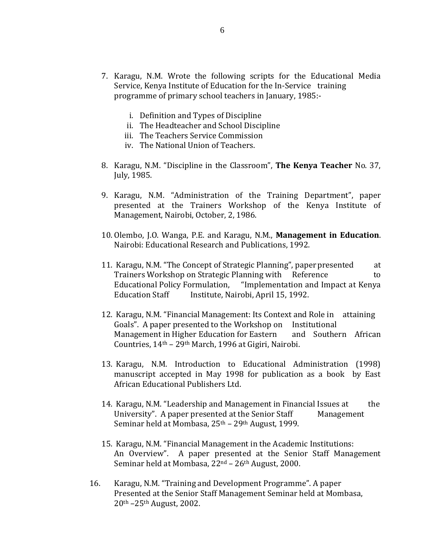- 7. Karagu, N.M. Wrote the following scripts for the Educational Media Service, Kenya Institute of Education for the In-Service training programme of primary school teachers in January, 1985:
	- i. Definition and Types of Discipline
	- ii. The Headteacher and School Discipline
	- iii. The Teachers Service Commission
	- iv. The National Union of Teachers.
- 8. Karagu, N.M. "Discipline in the Classroom", **The Kenya Teacher** No. 37, July, 1985.
- 9. Karagu, N.M. "Administration of the Training Department", paper presented at the Trainers Workshop of the Kenya Institute of Management, Nairobi, October, 2, 1986.
- 10. Olembo, J.O. Wanga, P.E. and Karagu, N.M., **Management in Education**. Nairobi: Educational Research and Publications, 1992.
- 11. Karagu, N.M. "The Concept of Strategic Planning", paperpresented at Trainers Workshop on Strategic Planning with Reference to Educational Policy Formulation, "Implementation and Impact at Kenya Education Staff Institute, Nairobi, April 15, 1992.
- 12. Karagu, N.M. "Financial Management: Its Context and Role in attaining Goals". A paper presented to the Workshop on Institutional Management in Higher Education for Eastern and Southern African Countries, 14th – 29th March, 1996 at Gigiri, Nairobi.
- 13. Karagu, N.M. Introduction to Educational Administration (1998) manuscript accepted in May 1998 for publication as a book by East African Educational Publishers Ltd.
- 14. Karagu, N.M. "Leadership and Management in Financial Issues at the University". A paper presented at the Senior Staff Management Seminar held at Mombasa, 25th – 29th August, 1999.
- 15. Karagu, N.M. "Financial Management in the Academic Institutions: An Overview". A paper presented at the Senior Staff Management Seminar held at Mombasa,  $22<sup>nd</sup> - 26<sup>th</sup>$  August, 2000.
- 16. Karagu, N.M. "Training and Development Programme". A paper Presented at the Senior Staff Management Seminar held at Mombasa, 20th –25th August, 2002.